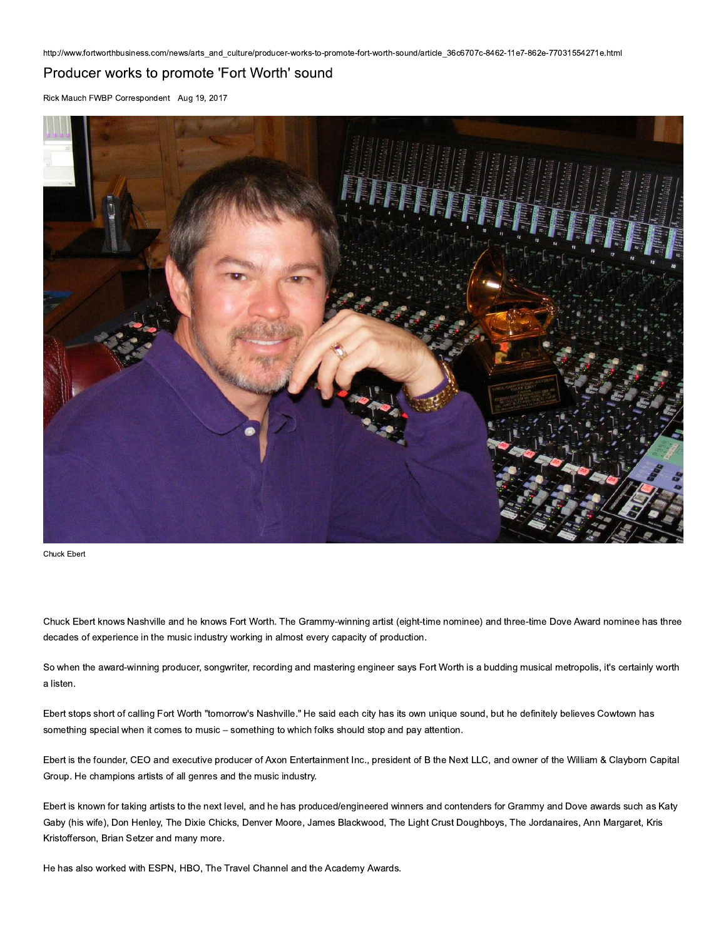## Producer works to promote 'Fort Worth' sound

Rick Mauch FWBP Correspondent Aug 19, 2017



Chuck Ebert

Chuck Ebert knows Nashville and he knows Fort Worth. The Grammy-winning artist (eight-time nominee) and three-time Dove Award nominee has three decades of experience in the music industry working in almost every capacity of production.

So when the award-winning producer, songwriter, recording and mastering engineer says Fort Worth is a budding musical metropolis, it's certainly worth a listen.

Ebert stops short of calling Fort Worth "tomorrow's Nashville." He said each city has its own unique sound, but he definitely believes Cowtown has something special when it comes to music - something to which folks should stop and pay attention.

Ebert is the founder, CEO and executive producer of Axon Entertainment Inc., president of B the Next LLC, and owner of the William & Clayborn Capital Group. He champions artists of all genres and the music industry.

Ebert is known for taking artists to the next level, and he has produced/engineered winners and contenders for Grammy and Dove awards such as Katy Gaby (his wife), Don Henley, The Dixie Chicks, Denver Moore, James Blackwood, The Light Crust Doughboys, The Jordanaires, Ann Margaret, Kris Kristofferson, Brian Setzer and many more.

He has also worked with ESPN, HBO, The Travel Channel and the Academy Awards.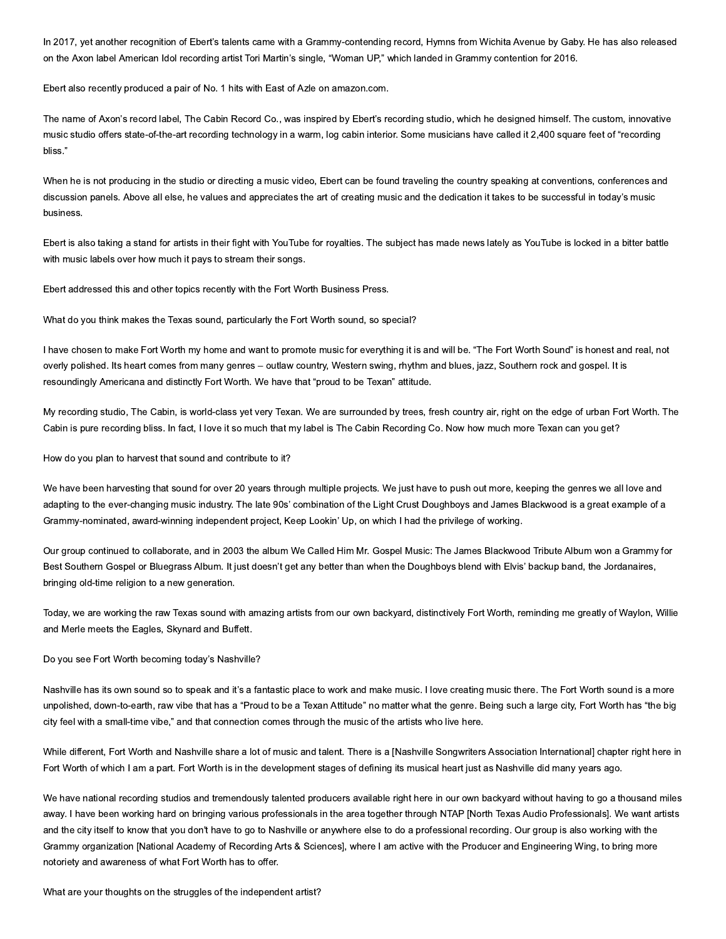In 2017, yet another recognition of Ebert's talents came with a Grammy-contending record, Hymns from Wichita Avenue by Gaby. He has also released on the Axon label American Idol recording artist Tori Martin's single, "Woman UP," which landed in Grammy contention for 2016.

Ebert also recently produced a pair of No. 1 hits with East of Azle on amazon.com.

The name of Axon's record label, The Cabin Record Co., was inspired by Ebert's recording studio, which he designed himself. The custom, innovative music studio offers state-of-the-art recording technology in a warm, log cabin interior. Some musicians have called it 2,400 square feet of "recording bliss."

When he is not producing in the studio or directing a music video, Ebert can be found traveling the country speaking at conventions, conferences and discussion panels. Above all else, he values and appreciates the art of creating music and the dedication it takes to be successful in today's music business.

Ebert is also taking a stand for artists in their fight with YouTube for royalties. The subject has made news lately as YouTube is locked in a bitter battle with music labels over how much it pays to stream their songs.

Ebert addressed this and other topics recently with the Fort Worth Business Press.

What do you think makes the Texas sound, particularly the Fort Worth sound, so special?

I have chosen to make Fort Worth my home and want to promote music for everything it is and will be. "The Fort Worth Sound" is honest and real, not overly polished. Its heart comes from many genres - outlaw country, Western swing, rhythm and blues, jazz, Southern rock and gospel. It is resoundingly Americana and distinctly Fort Worth. We have that "proud to be Texan" attitude.

My recording studio, The Cabin, is world-class yet very Texan. We are surrounded by trees, fresh country air, right on the edge of urban Fort Worth. The Cabin is pure recording bliss. In fact, I love it so much that my label is The Cabin Recording Co. Now how much more Texan can you get?

How do you plan to harvest that sound and contribute to it?

We have been harvesting that sound for over 20 years through multiple projects. We just have to push out more, keeping the genres we all love and adapting to the ever-changing music industry. The late 90s' combination of the Light Crust Doughboys and James Blackwood is a great example of a Grammy-nominated, award-winning independent project, Keep Lookin' Up, on which I had the privilege of working.

Our group continued to collaborate, and in 2003 the album We Called Him Mr. Gospel Music: The James Blackwood Tribute Album won a Grammy for Best Southern Gospel or Bluegrass Album. It just doesn't get any better than when the Doughboys blend with Elvis' backup band, the Jordanaires, bringing old-time religion to a new generation.

Today, we are working the raw Texas sound with amazing artists from our own backyard, distinctively Fort Worth, reminding me greatly of Waylon, Willie and Merle meets the Eagles, Skynard and Buffett.

## Do you see Fort Worth becoming today's Nashville?

Nashville has its own sound so to speak and it's a fantastic place to work and make music. I love creating music there. The Fort Worth sound is a more unpolished, down-to-earth, raw vibe that has a "Proud to be a Texan Attitude" no matter what the genre. Being such a large city, Fort Worth has "the big city feel with a small-time vibe," and that connection comes through the music of the artists who live here.

While different, Fort Worth and Nashville share a lot of music and talent. There is a [Nashville Songwriters Association International] chapter right here in Fort Worth of which I am a part. Fort Worth is in the development stages of defining its musical heart just as Nashville did many years ago.

We have national recording studios and tremendously talented producers available right here in our own backyard without having to go a thousand miles away. I have been working hard on bringing various professionals in the area together through NTAP [North Texas Audio Professionals]. We want artists and the city itself to know that you don't have to go to Nashville or anywhere else to do a professional recording. Our group is also working with the Grammy organization [National Academy of Recording Arts & Sciences], where I am active with the Producer and Engineering Wing, to bring more notoriety and awareness of what Fort Worth has to offer.

What are your thoughts on the struggles of the independent artist?